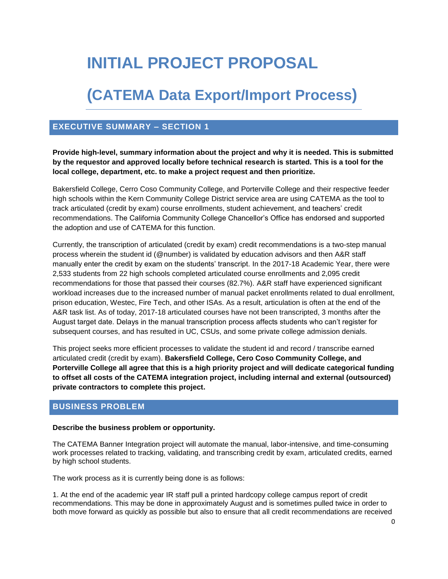# **INITIAL PROJECT PROPOSAL**

## **(CATEMA Data Export/Import Process)**

## **EXECUTIVE SUMMARY – SECTION 1**

**Provide high-level, summary information about the project and why it is needed. This is submitted by the requestor and approved locally before technical research is started. This is a tool for the local college, department, etc. to make a project request and then prioritize.** 

Bakersfield College, Cerro Coso Community College, and Porterville College and their respective feeder high schools within the Kern Community College District service area are using CATEMA as the tool to track articulated (credit by exam) course enrollments, student achievement, and teachers' credit recommendations. The California Community College Chancellor's Office has endorsed and supported the adoption and use of CATEMA for this function.

Currently, the transcription of articulated (credit by exam) credit recommendations is a two-step manual process wherein the student id (@number) is validated by education advisors and then A&R staff manually enter the credit by exam on the students' transcript. In the 2017-18 Academic Year, there were 2,533 students from 22 high schools completed articulated course enrollments and 2,095 credit recommendations for those that passed their courses (82.7%). A&R staff have experienced significant workload increases due to the increased number of manual packet enrollments related to dual enrollment, prison education, Westec, Fire Tech, and other ISAs. As a result, articulation is often at the end of the A&R task list. As of today, 2017-18 articulated courses have not been transcripted, 3 months after the August target date. Delays in the manual transcription process affects students who can't register for subsequent courses, and has resulted in UC, CSUs, and some private college admission denials.

This project seeks more efficient processes to validate the student id and record / transcribe earned articulated credit (credit by exam). **Bakersfield College, Cero Coso Community College, and Porterville College all agree that this is a high priority project and will dedicate categorical funding to offset all costs of the CATEMA integration project, including internal and external (outsourced) private contractors to complete this project.**

## **BUSINESS PROBLEM**

#### **Describe the business problem or opportunity.**

The CATEMA Banner Integration project will automate the manual, labor-intensive, and time-consuming work processes related to tracking, validating, and transcribing credit by exam, articulated credits, earned by high school students.

The work process as it is currently being done is as follows:

1. At the end of the academic year IR staff pull a printed hardcopy college campus report of credit recommendations. This may be done in approximately August and is sometimes pulled twice in order to both move forward as quickly as possible but also to ensure that all credit recommendations are received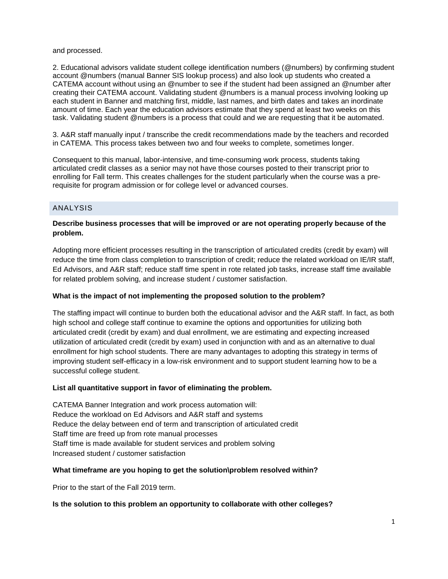and processed.

2. Educational advisors validate student college identification numbers (@numbers) by confirming student account @numbers (manual Banner SIS lookup process) and also look up students who created a CATEMA account without using an @number to see if the student had been assigned an @number after creating their CATEMA account. Validating student @numbers is a manual process involving looking up each student in Banner and matching first, middle, last names, and birth dates and takes an inordinate amount of time. Each year the education advisors estimate that they spend at least two weeks on this task. Validating student @numbers is a process that could and we are requesting that it be automated.

3. A&R staff manually input / transcribe the credit recommendations made by the teachers and recorded in CATEMA. This process takes between two and four weeks to complete, sometimes longer.

Consequent to this manual, labor-intensive, and time-consuming work process, students taking articulated credit classes as a senior may not have those courses posted to their transcript prior to enrolling for Fall term. This creates challenges for the student particularly when the course was a prerequisite for program admission or for college level or advanced courses.

#### ANALYSIS

#### **Describe business processes that will be improved or are not operating properly because of the problem.**

Adopting more efficient processes resulting in the transcription of articulated credits (credit by exam) will reduce the time from class completion to transcription of credit; reduce the related workload on IE/IR staff, Ed Advisors, and A&R staff; reduce staff time spent in rote related job tasks, increase staff time available for related problem solving, and increase student / customer satisfaction.

#### **What is the impact of not implementing the proposed solution to the problem?**

The staffing impact will continue to burden both the educational advisor and the A&R staff. In fact, as both high school and college staff continue to examine the options and opportunities for utilizing both articulated credit (credit by exam) and dual enrollment, we are estimating and expecting increased utilization of articulated credit (credit by exam) used in conjunction with and as an alternative to dual enrollment for high school students. There are many advantages to adopting this strategy in terms of improving student self-efficacy in a low-risk environment and to support student learning how to be a successful college student.

#### **List all quantitative support in favor of eliminating the problem.**

CATEMA Banner Integration and work process automation will: Reduce the workload on Ed Advisors and A&R staff and systems Reduce the delay between end of term and transcription of articulated credit Staff time are freed up from rote manual processes Staff time is made available for student services and problem solving Increased student / customer satisfaction

#### **What timeframe are you hoping to get the solution\problem resolved within?**

Prior to the start of the Fall 2019 term.

#### **Is the solution to this problem an opportunity to collaborate with other colleges?**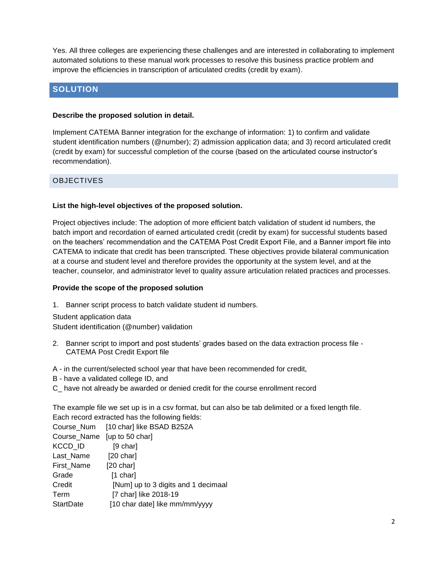Yes. All three colleges are experiencing these challenges and are interested in collaborating to implement automated solutions to these manual work processes to resolve this business practice problem and improve the efficiencies in transcription of articulated credits (credit by exam).

## **SOLUTION**

#### **Describe the proposed solution in detail.**

Implement CATEMA Banner integration for the exchange of information: 1) to confirm and validate student identification numbers (@number); 2) admission application data; and 3) record articulated credit (credit by exam) for successful completion of the course (based on the articulated course instructor's recommendation).

#### OBJECTIVES

#### **List the high-level objectives of the proposed solution.**

Project objectives include: The adoption of more efficient batch validation of student id numbers, the batch import and recordation of earned articulated credit (credit by exam) for successful students based on the teachers' recommendation and the CATEMA Post Credit Export File, and a Banner import file into CATEMA to indicate that credit has been transcripted. These objectives provide bilateral communication at a course and student level and therefore provides the opportunity at the system level, and at the teacher, counselor, and administrator level to quality assure articulation related practices and processes.

#### **Provide the scope of the proposed solution**

1. Banner script process to batch validate student id numbers.

Student application data Student identification (@number) validation

- 2. Banner script to import and post students' grades based on the data extraction process file CATEMA Post Credit Export file
- A in the current/selected school year that have been recommended for credit,
- B have a validated college ID, and
- C\_ have not already be awarded or denied credit for the course enrollment record

The example file we set up is in a csv format, but can also be tab delimited or a fixed length file. Each record extracted has the following fields:

|                             | Course_Num [10 char] like BSAD B252A |
|-----------------------------|--------------------------------------|
| Course_Name [up to 50 char] |                                      |
| KCCD ID                     | $[9 \text{ char}]$                   |
| Last Name                   | [20 char]                            |
| First Name                  | [20 char]                            |
| Grade                       | $[1 \text{ char}]$                   |
| Credit                      | [Num] up to 3 digits and 1 decimaal  |
| Term                        | [7 char] like 2018-19                |
| <b>StartDate</b>            | [10 char date] like mm/mm/yyyy       |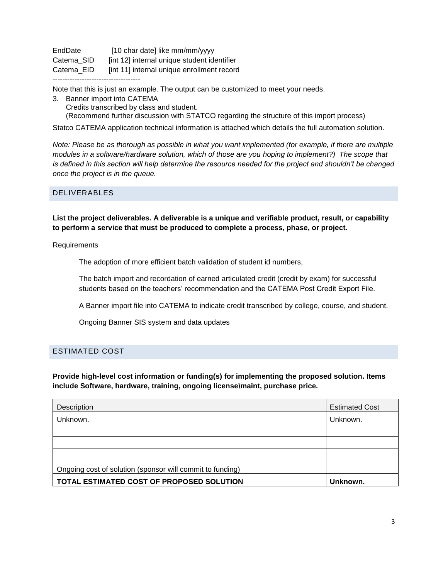EndDate [10 char date] like mm/mm/yyyy Catema\_SID [int 12] internal unique student identifier Catema EID [int 11] internal unique enrollment record ------------------------------------

Note that this is just an example. The output can be customized to meet your needs.

3. Banner import into CATEMA Credits transcribed by class and student. (Recommend further discussion with STATCO regarding the structure of this import process)

Statco CATEMA application technical information is attached which details the full automation solution.

*Note: Please be as thorough as possible in what you want implemented (for example, if there are multiple modules in a software/hardware solution, which of those are you hoping to implement?) The scope that is defined in this section will help determine the resource needed for the project and shouldn't be changed once the project is in the queue.*

#### DELIVERABLES

**List the project deliverables. A deliverable is a unique and verifiable product, result, or capability to perform a service that must be produced to complete a process, phase, or project.**

Requirements

The adoption of more efficient batch validation of student id numbers,

The batch import and recordation of earned articulated credit (credit by exam) for successful students based on the teachers' recommendation and the CATEMA Post Credit Export File.

A Banner import file into CATEMA to indicate credit transcribed by college, course, and student.

Ongoing Banner SIS system and data updates

#### ESTIMATED COST

**Provide high-level cost information or funding(s) for implementing the proposed solution. Items include Software, hardware, training, ongoing license\maint, purchase price.**

| Description                                               | <b>Estimated Cost</b> |
|-----------------------------------------------------------|-----------------------|
| Unknown.                                                  | Unknown.              |
|                                                           |                       |
|                                                           |                       |
|                                                           |                       |
| Ongoing cost of solution (sponsor will commit to funding) |                       |
| TOTAL ESTIMATED COST OF PROPOSED SOLUTION                 | Unknown.              |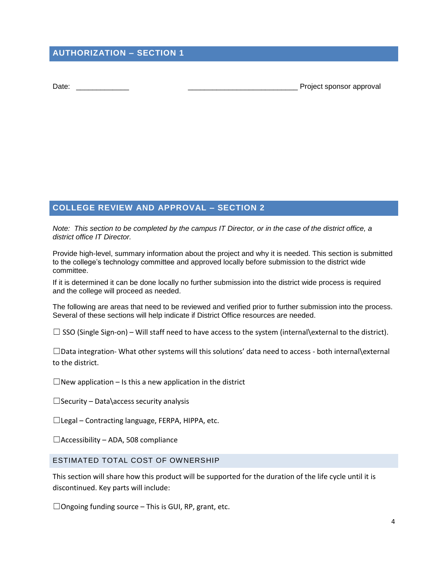## **AUTHORIZATION – SECTION 1**

Date: **Date: Date: Date: Date: Date: Date: Date: Date: Date: Date: Date: Date: Date: Date: Date: Date: Date: Date: Date: Date: Date: Date: Date: Date: Date: Date: Date:**

### **COLLEGE REVIEW AND APPROVAL – SECTION 2**

*Note: This section to be completed by the campus IT Director, or in the case of the district office, a district office IT Director.*

Provide high-level, summary information about the project and why it is needed. This section is submitted to the college's technology committee and approved locally before submission to the district wide committee.

If it is determined it can be done locally no further submission into the district wide process is required and the college will proceed as needed.

The following are areas that need to be reviewed and verified prior to further submission into the process. Several of these sections will help indicate if District Office resources are needed.

 $\Box$  SSO (Single Sign-on) – Will staff need to have access to the system (internal\external to the district).

☐Data integration- What other systems will this solutions' data need to access - both internal\external to the district.

 $\Box$ New application – Is this a new application in the district

 $\Box$ Security – Data\access security analysis

 $\Box$ Legal – Contracting language, FERPA, HIPPA, etc.

 $\Box$ Accessibility – ADA, 508 compliance

#### ESTIMATED TOTAL COST OF OWNERSHIP

This section will share how this product will be supported for the duration of the life cycle until it is discontinued. Key parts will include:

 $\Box$ Ongoing funding source – This is GUI, RP, grant, etc.